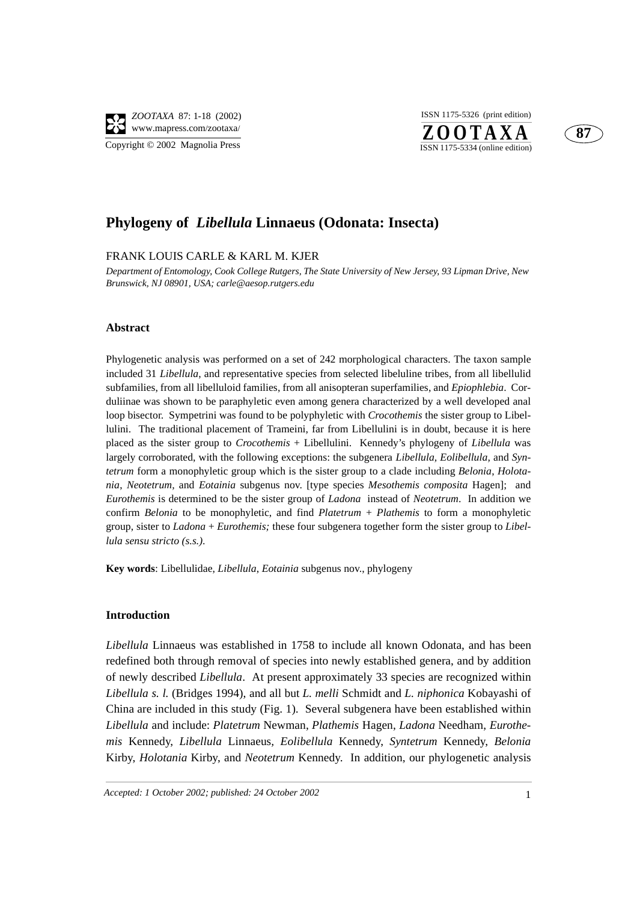

 $Z$ **OOTAXA** ISSN 1175-5326 (print edition)



## **Phylogeny of** *Libellula* **Linnaeus (Odonata: Insecta)**

#### FRANK LOUIS CARLE & KARL M. KJER

*Department of Entomology, Cook College Rutgers, The State University of New Jersey, 93 Lipman Drive, New Brunswick, NJ 08901, USA; carle@aesop.rutgers.edu*

#### **Abstract**

Phylogenetic analysis was performed on a set of 242 morphological characters. The taxon sample included 31 *Libellula*, and representative species from selected libeluline tribes, from all libellulid subfamilies, from all libelluloid families, from all anisopteran superfamilies, and *Epiophlebia*. Corduliinae was shown to be paraphyletic even among genera characterized by a well developed anal loop bisector. Sympetrini was found to be polyphyletic with *Crocothemis* the sister group to Libellulini. The traditional placement of Trameini, far from Libellulini is in doubt, because it is here placed as the sister group to *Crocothemis* + Libellulini. Kennedy's phylogeny of *Libellula* was largely corroborated, with the following exceptions: the subgenera *Libellula, Eolibellula,* and *Syntetrum* form a monophyletic group which is the sister group to a clade including *Belonia*, *Holotania*, *Neotetrum,* and *Eotainia* subgenus nov. [type species *Mesothemis composita* Hagen];and *Eurothemis* is determined to be the sister group of *Ladona* instead of *Neotetrum*. In addition we confirm *Belonia* to be monophyletic, and find *Platetrum* + *Plathemis* to form a monophyletic group, sister to *Ladona* + *Eurothemis;* these four subgenera together form the sister group to *Libellula sensu stricto (s.s.)*.

**Key words**: Libellulidae, *Libellula*, *Eotainia* subgenus nov., phylogeny

#### **Introduction**

*Libellula* Linnaeus was established in 1758 to include all known Odonata, and has been redefined both through removal of species into newly established genera, and by addition of newly described *Libellula*. At present approximately 33 species are recognized within *Libellula s. l.* (Bridges 1994), and all but *L. melli* Schmidt and *L. niphonica* Kobayashi of China are included in this study (Fig. 1). Several subgenera have been established within *Libellula* and include: *Platetrum* Newman, *Plathemis* Hagen, *Ladona* Needham, *Eurothemis* Kennedy, *Libellula* Linnaeus*, Eolibellula* Kennedy, *Syntetrum* Kennedy, *Belonia* Kirby, *Holotania* Kirby, and *Neotetrum* Kennedy. In addition, our phylogenetic analysis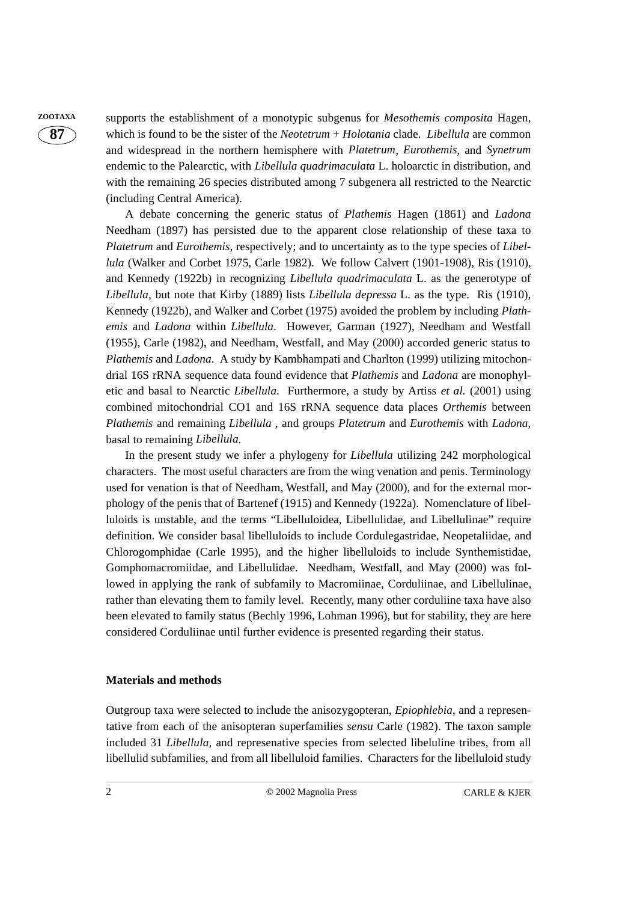**ZOOTAXA** supports the establishment of a monotypic subgenus for *Mesothemis composita* Hagen, which is found to be the sister of the *Neotetrum* + *Holotania* clade. *Libellula* are common and widespread in the northern hemisphere with *Platetrum*, *Eurothemis*, and *Synetrum* endemic to the Palearctic, with *Libellula quadrimaculata* L. holoarctic in distribution, and with the remaining 26 species distributed among 7 subgenera all restricted to the Nearctic (including Central America).

> A debate concerning the generic status of *Plathemis* Hagen (1861) and *Ladona* Needham (1897) has persisted due to the apparent close relationship of these taxa to *Platetrum* and *Eurothemis*, respectively; and to uncertainty as to the type species of *Libellula* (Walker and Corbet 1975, Carle 1982). We follow Calvert (1901-1908), Ris (1910), and Kennedy (1922b) in recognizing *Libellula quadrimaculata* L. as the generotype of *Libellula,* but note that Kirby (1889) lists *Libellula depressa* L. as the type. Ris (1910), Kennedy (1922b), and Walker and Corbet (1975) avoided the problem by including *Plathemis* and *Ladona* within *Libellula*. However, Garman (1927), Needham and Westfall (1955), Carle (1982), and Needham, Westfall, and May (2000) accorded generic status to *Plathemis* and *Ladona*. A study by Kambhampati and Charlton (1999) utilizing mitochondrial 16S rRNA sequence data found evidence that *Plathemis* and *Ladona* are monophyletic and basal to Nearctic *Libellula*. Furthermore, a study by Artiss *et al.* (2001) using combined mitochondrial CO1 and 16S rRNA sequence data places *Orthemis* between *Plathemis* and remaining *Libellula* , and groups *Platetrum* and *Eurothemis* with *Ladona*, basal to remaining *Libellula*.

> In the present study we infer a phylogeny for *Libellula* utilizing 242 morphological characters. The most useful characters are from the wing venation and penis. Terminology used for venation is that of Needham, Westfall, and May (2000), and for the external morphology of the penis that of Bartenef (1915) and Kennedy (1922a). Nomenclature of libelluloids is unstable, and the terms "Libelluloidea, Libellulidae, and Libellulinae" require definition. We consider basal libelluloids to include Cordulegastridae, Neopetaliidae, and Chlorogomphidae (Carle 1995), and the higher libelluloids to include Synthemistidae, Gomphomacromiidae, and Libellulidae. Needham, Westfall, and May (2000) was followed in applying the rank of subfamily to Macromiinae, Corduliinae, and Libellulinae, rather than elevating them to family level. Recently, many other corduliine taxa have also been elevated to family status (Bechly 1996, Lohman 1996), but for stability, they are here considered Corduliinae until further evidence is presented regarding their status.

#### **Materials and methods**

Outgroup taxa were selected to include the anisozygopteran, *Epiophlebia*, and a representative from each of the anisopteran superfamilies *sensu* Carle (1982). The taxon sample included 31 *Libellula*, and represenative species from selected libeluline tribes, from all libellulid subfamilies, and from all libelluloid families. Characters for the libelluloid study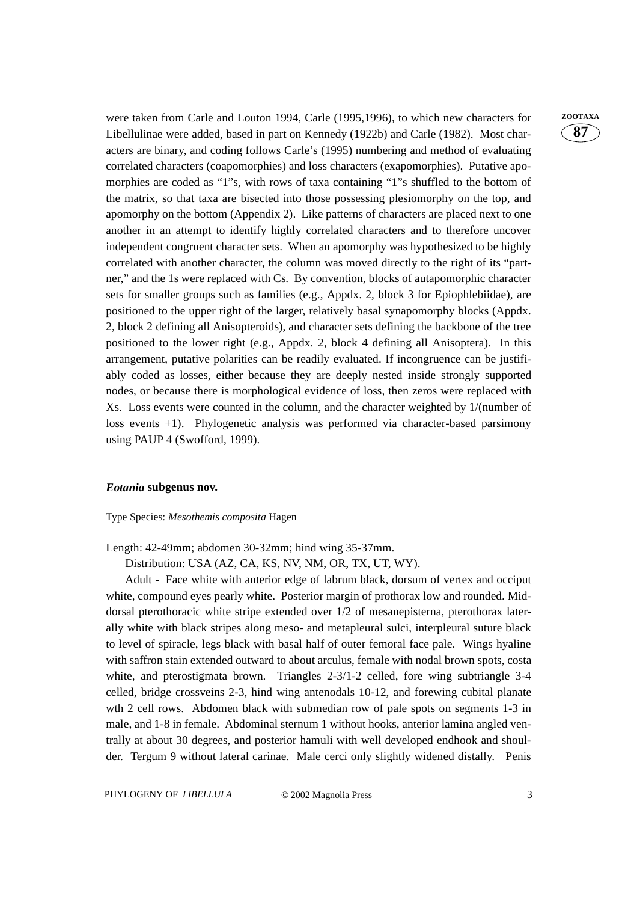were taken from Carle and Louton 1994, Carle (1995,1996), to which new characters for **ZOOTAXA** Libellulinae were added, based in part on Kennedy (1922b) and Carle (1982). Most characters are binary, and coding follows Carle's (1995) numbering and method of evaluating correlated characters (coapomorphies) and loss characters (exapomorphies). Putative apomorphies are coded as "1"s, with rows of taxa containing "1"s shuffled to the bottom of the matrix, so that taxa are bisected into those possessing plesiomorphy on the top, and apomorphy on the bottom (Appendix 2). Like patterns of characters are placed next to one another in an attempt to identify highly correlated characters and to therefore uncover independent congruent character sets. When an apomorphy was hypothesized to be highly correlated with another character, the column was moved directly to the right of its "partner," and the 1s were replaced with Cs. By convention, blocks of autapomorphic character sets for smaller groups such as families (e.g., Appdx. 2, block 3 for Epiophlebiidae), are positioned to the upper right of the larger, relatively basal synapomorphy blocks (Appdx. 2, block 2 defining all Anisopteroids), and character sets defining the backbone of the tree positioned to the lower right (e.g., Appdx. 2, block 4 defining all Anisoptera). In this arrangement, putative polarities can be readily evaluated. If incongruence can be justifiably coded as losses, either because they are deeply nested inside strongly supported nodes, or because there is morphological evidence of loss, then zeros were replaced with Xs. Loss events were counted in the column, and the character weighted by 1/(number of loss events +1). Phylogenetic analysis was performed via character-based parsimony using PAUP 4 (Swofford, 1999).

#### *Eotania* **subgenus nov.**

#### Type Species: *Mesothemis composita* Hagen

Length: 42-49mm; abdomen 30-32mm; hind wing 35-37mm.

Distribution: USA (AZ, CA, KS, NV, NM, OR, TX, UT, WY).

Adult - Face white with anterior edge of labrum black, dorsum of vertex and occiput white, compound eyes pearly white. Posterior margin of prothorax low and rounded. Middorsal pterothoracic white stripe extended over 1/2 of mesanepisterna, pterothorax laterally white with black stripes along meso- and metapleural sulci, interpleural suture black to level of spiracle, legs black with basal half of outer femoral face pale. Wings hyaline with saffron stain extended outward to about arculus, female with nodal brown spots, costa white, and pterostigmata brown. Triangles 2-3/1-2 celled, fore wing subtriangle 3-4 celled, bridge crossveins 2-3, hind wing antenodals 10-12, and forewing cubital planate wth 2 cell rows. Abdomen black with submedian row of pale spots on segments 1-3 in male, and 1-8 in female. Abdominal sternum 1 without hooks, anterior lamina angled ventrally at about 30 degrees, and posterior hamuli with well developed endhook and shoulder. Tergum 9 without lateral carinae. Male cerci only slightly widened distally. Penis **87**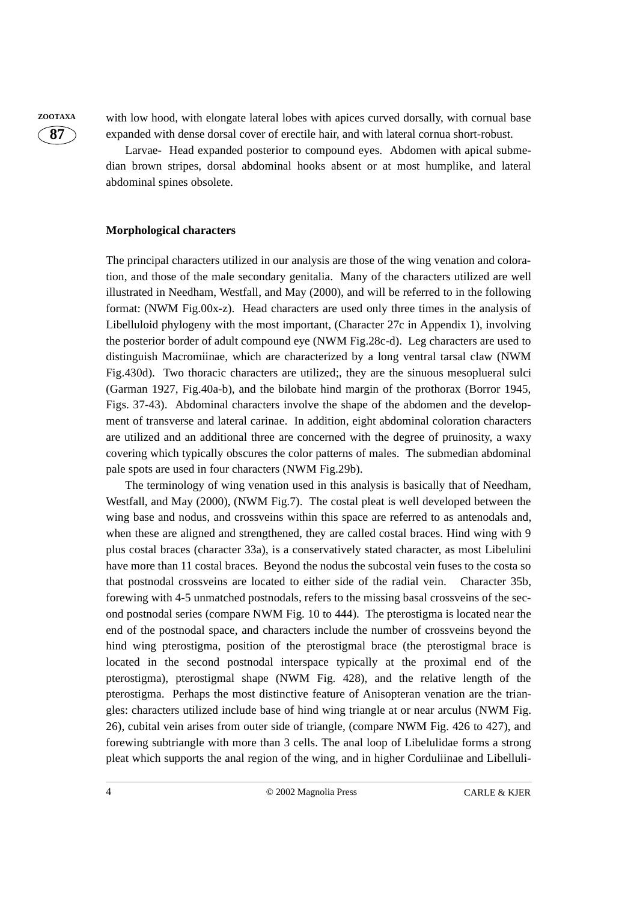**ZOOTAXA** with low hood, with elongate lateral lobes with apices curved dorsally, with cornual base expanded with dense dorsal cover of erectile hair, and with lateral cornua short-robust.

> Larvae- Head expanded posterior to compound eyes. Abdomen with apical submedian brown stripes, dorsal abdominal hooks absent or at most humplike, and lateral abdominal spines obsolete.

#### **Morphological characters**

The principal characters utilized in our analysis are those of the wing venation and coloration, and those of the male secondary genitalia. Many of the characters utilized are well illustrated in Needham, Westfall, and May (2000), and will be referred to in the following format: (NWM Fig.00x-z). Head characters are used only three times in the analysis of Libelluloid phylogeny with the most important, (Character 27c in Appendix 1), involving the posterior border of adult compound eye (NWM Fig.28c-d). Leg characters are used to distinguish Macromiinae, which are characterized by a long ventral tarsal claw (NWM Fig.430d). Two thoracic characters are utilized;, they are the sinuous mesoplueral sulci (Garman 1927, Fig.40a-b), and the bilobate hind margin of the prothorax (Borror 1945, Figs. 37-43). Abdominal characters involve the shape of the abdomen and the development of transverse and lateral carinae. In addition, eight abdominal coloration characters are utilized and an additional three are concerned with the degree of pruinosity, a waxy covering which typically obscures the color patterns of males. The submedian abdominal pale spots are used in four characters (NWM Fig.29b).

The terminology of wing venation used in this analysis is basically that of Needham, Westfall, and May (2000), (NWM Fig.7). The costal pleat is well developed between the wing base and nodus, and crossveins within this space are referred to as antenodals and, when these are aligned and strengthened, they are called costal braces. Hind wing with 9 plus costal braces (character 33a), is a conservatively stated character, as most Libelulini have more than 11 costal braces. Beyond the nodus the subcostal vein fuses to the costa so that postnodal crossveins are located to either side of the radial vein. Character 35b, forewing with 4-5 unmatched postnodals, refers to the missing basal crossveins of the second postnodal series (compare NWM Fig. 10 to 444). The pterostigma is located near the end of the postnodal space, and characters include the number of crossveins beyond the hind wing pterostigma, position of the pterostigmal brace (the pterostigmal brace is located in the second postnodal interspace typically at the proximal end of the pterostigma), pterostigmal shape (NWM Fig. 428), and the relative length of the pterostigma. Perhaps the most distinctive feature of Anisopteran venation are the triangles: characters utilized include base of hind wing triangle at or near arculus (NWM Fig. 26), cubital vein arises from outer side of triangle, (compare NWM Fig. 426 to 427), and forewing subtriangle with more than 3 cells. The anal loop of Libelulidae forms a strong pleat which supports the anal region of the wing, and in higher Corduliinae and Libelluli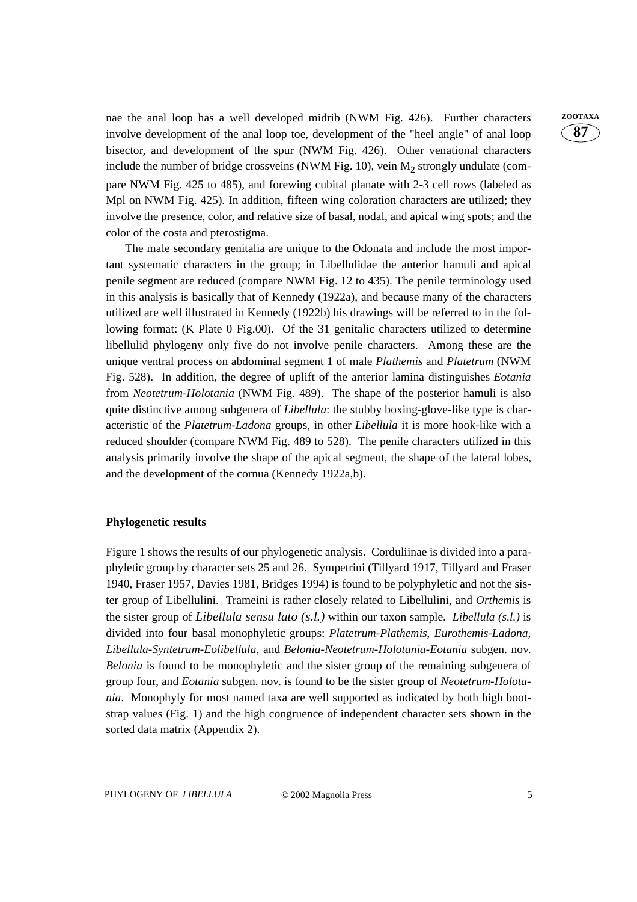nae the anal loop has a well developed midrib (NWM Fig. 426). Further characters **ZOOTAXA** involve development of the anal loop toe, development of the "heel angle" of anal loop bisector, and development of the spur (NWM Fig. 426). Other venational characters include the number of bridge crossveins (NWM Fig. 10), vein  $M<sub>2</sub>$  strongly undulate (compare NWM Fig. 425 to 485), and forewing cubital planate with 2-3 cell rows (labeled as Mpl on NWM Fig. 425). In addition, fifteen wing coloration characters are utilized; they involve the presence, color, and relative size of basal, nodal, and apical wing spots; and the color of the costa and pterostigma.

The male secondary genitalia are unique to the Odonata and include the most important systematic characters in the group; in Libellulidae the anterior hamuli and apical penile segment are reduced (compare NWM Fig. 12 to 435). The penile terminology used in this analysis is basically that of Kennedy (1922a), and because many of the characters utilized are well illustrated in Kennedy (1922b) his drawings will be referred to in the following format: (K Plate 0 Fig.00). Of the 31 genitalic characters utilized to determine libellulid phylogeny only five do not involve penile characters. Among these are the unique ventral process on abdominal segment 1 of male *Plathemis* and *Platetrum* (NWM Fig. 528). In addition, the degree of uplift of the anterior lamina distinguishes *Eotania* from *Neotetrum-Holotania* (NWM Fig. 489). The shape of the posterior hamuli is also quite distinctive among subgenera of *Libellula*: the stubby boxing-glove-like type is characteristic of the *Platetrum-Ladona* groups, in other *Libellula* it is more hook-like with a reduced shoulder (compare NWM Fig. 489 to 528). The penile characters utilized in this analysis primarily involve the shape of the apical segment, the shape of the lateral lobes, and the development of the cornua (Kennedy 1922a,b).

#### **Phylogenetic results**

Figure 1 shows the results of our phylogenetic analysis. Corduliinae is divided into a paraphyletic group by character sets 25 and 26. Sympetrini (Tillyard 1917, Tillyard and Fraser 1940, Fraser 1957, Davies 1981, Bridges 1994) is found to be polyphyletic and not the sister group of Libellulini. Trameini is rather closely related to Libellulini, and *Orthemis* is the sister group of *Libellula sensu lato (s.l.)* within our taxon sample. *Libellula (s.l.)* is divided into four basal monophyletic groups: *Platetrum-Plathemis*, *Eurothemis-Ladona*, *Libellula-Syntetrum-Eolibellula*, and *Belonia-Neotetrum-Holotania-Eotania* subgen. nov. *Belonia* is found to be monophyletic and the sister group of the remaining subgenera of group four, and *Eotania* subgen. nov. is found to be the sister group of *Neotetrum-Holotania*. Monophyly for most named taxa are well supported as indicated by both high bootstrap values (Fig. 1) and the high congruence of independent character sets shown in the sorted data matrix (Appendix 2).

**87**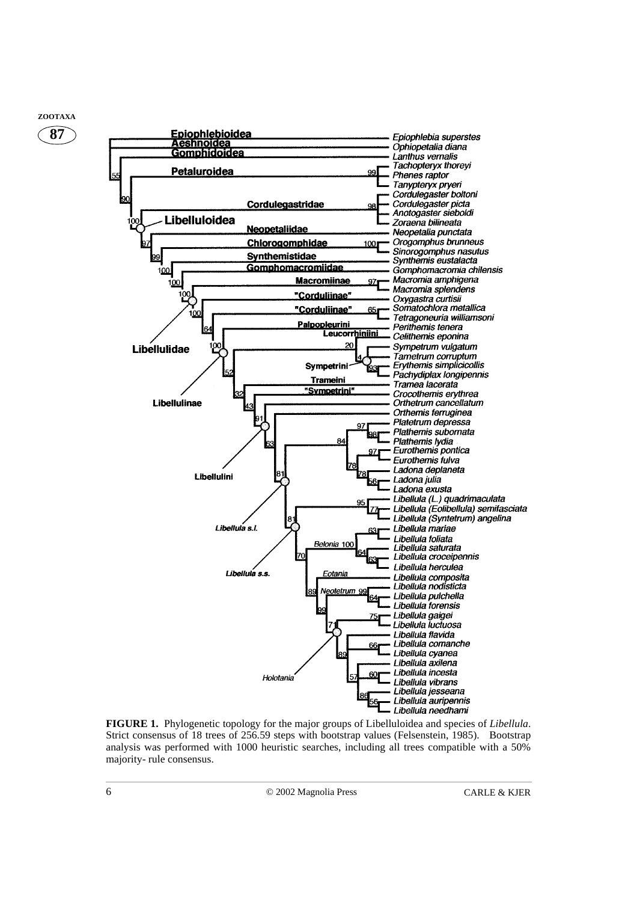

**FIGURE 1.** Phylogenetic topology for the major groups of Libelluloidea and species of *Libellula*. Strict consensus of 18 trees of 256.59 steps with bootstrap values (Felsenstein, 1985). Bootstrap analysis was performed with 1000 heuristic searches, including all trees compatible with a 50% majority- rule consensus.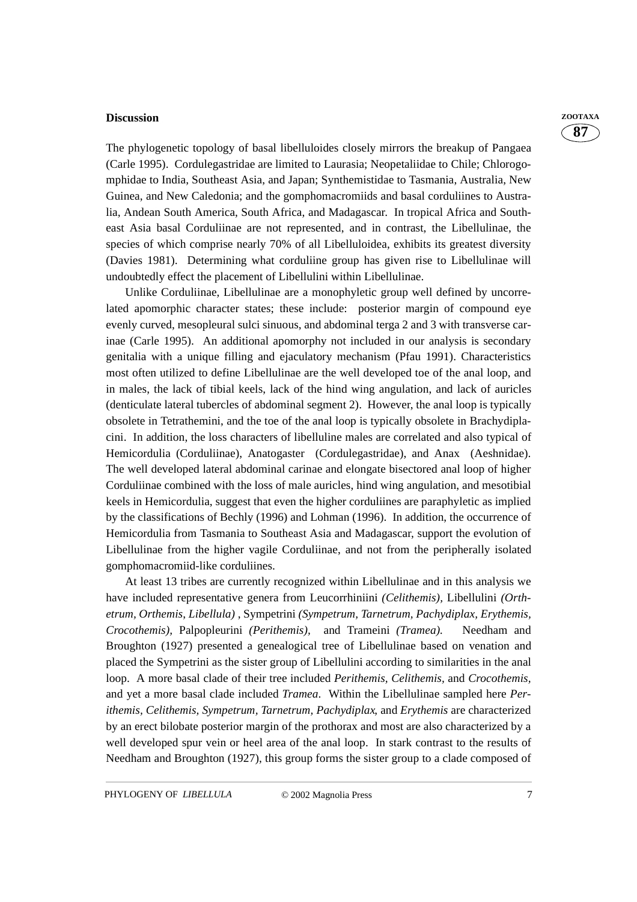#### **Discussion ZOOTAXA**

The phylogenetic topology of basal libelluloides closely mirrors the breakup of Pangaea (Carle 1995). Cordulegastridae are limited to Laurasia; Neopetaliidae to Chile; Chlorogomphidae to India, Southeast Asia, and Japan; Synthemistidae to Tasmania, Australia, New Guinea, and New Caledonia; and the gomphomacromiids and basal corduliines to Australia, Andean South America, South Africa, and Madagascar. In tropical Africa and Southeast Asia basal Corduliinae are not represented, and in contrast, the Libellulinae, the species of which comprise nearly 70% of all Libelluloidea, exhibits its greatest diversity (Davies 1981). Determining what corduliine group has given rise to Libellulinae will undoubtedly effect the placement of Libellulini within Libellulinae.

Unlike Corduliinae, Libellulinae are a monophyletic group well defined by uncorrelated apomorphic character states; these include: posterior margin of compound eye evenly curved, mesopleural sulci sinuous, and abdominal terga 2 and 3 with transverse carinae (Carle 1995). An additional apomorphy not included in our analysis is secondary genitalia with a unique filling and ejaculatory mechanism (Pfau 1991). Characteristics most often utilized to define Libellulinae are the well developed toe of the anal loop, and in males, the lack of tibial keels, lack of the hind wing angulation, and lack of auricles (denticulate lateral tubercles of abdominal segment 2). However, the anal loop is typically obsolete in Tetrathemini, and the toe of the anal loop is typically obsolete in Brachydiplacini. In addition, the loss characters of libelluline males are correlated and also typical of Hemicordulia (Corduliinae), Anatogaster (Cordulegastridae), and Anax (Aeshnidae). The well developed lateral abdominal carinae and elongate bisectored anal loop of higher Corduliinae combined with the loss of male auricles, hind wing angulation, and mesotibial keels in Hemicordulia, suggest that even the higher corduliines are paraphyletic as implied by the classifications of Bechly (1996) and Lohman (1996). In addition, the occurrence of Hemicordulia from Tasmania to Southeast Asia and Madagascar, support the evolution of Libellulinae from the higher vagile Corduliinae, and not from the peripherally isolated gomphomacromiid-like corduliines.

At least 13 tribes are currently recognized within Libellulinae and in this analysis we have included representative genera from Leucorrhiniini *(Celithemis),* Libellulini *(Orthetrum, Orthemis*, *Libellula)* , Sympetrini *(Sympetrum, Tarnetrum, Pachydiplax, Erythemis, Crocothemis),* Palpopleurini *(Perithemis),* and Trameini *(Tramea).* Needham and Broughton (1927) presented a genealogical tree of Libellulinae based on venation and placed the Sympetrini as the sister group of Libellulini according to similarities in the anal loop. A more basal clade of their tree included *Perithemis, Celithemis,* and *Crocothemis,* and yet a more basal clade included *Tramea*. Within the Libellulinae sampled here *Perithemis, Celithemis, Sympetrum, Tarnetrum, Pachydiplax*, and *Erythemis* are characterized by an erect bilobate posterior margin of the prothorax and most are also characterized by a well developed spur vein or heel area of the anal loop. In stark contrast to the results of Needham and Broughton (1927), this group forms the sister group to a clade composed of

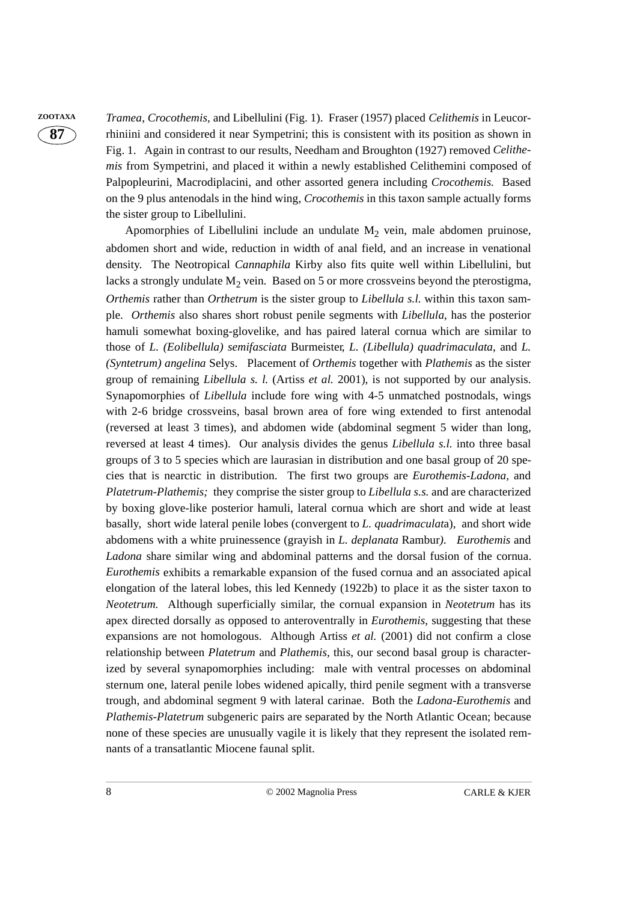**ZOOTAXA** *Tramea*, *Crocothemis*, and Libellulini (Fig. 1). Fraser (1957) placed *Celithemis* in Leucorrhiniini and considered it near Sympetrini; this is consistent with its position as shown in Fig. 1. Again in contrast to our results, Needham and Broughton (1927) removed *Celithemis* from Sympetrini, and placed it within a newly established Celithemini composed of Palpopleurini, Macrodiplacini, and other assorted genera including *Crocothemis.* Based on the 9 plus antenodals in the hind wing, *Crocothemis* in this taxon sample actually forms the sister group to Libellulini.

> Apomorphies of Libellulini include an undulate  $M<sub>2</sub>$  vein, male abdomen pruinose, abdomen short and wide, reduction in width of anal field, and an increase in venational density. The Neotropical *Cannaphila* Kirby also fits quite well within Libellulini, but lacks a strongly undulate  $M<sub>2</sub>$  vein. Based on 5 or more crossveins beyond the pterostigma, *Orthemis* rather than *Orthetrum* is the sister group to *Libellula s.l.* within this taxon sample. *Orthemis* also shares short robust penile segments with *Libellula*, has the posterior hamuli somewhat boxing-glovelike, and has paired lateral cornua which are similar to those of *L. (Eolibellula) semifasciata* Burmeister*, L. (Libellula) quadrimaculata*, and *L. (Syntetrum) angelina* Selys. Placement of *Orthemis* together with *Plathemis* as the sister group of remaining *Libellula s. l.* (Artiss *et al.* 2001), is not supported by our analysis. Synapomorphies of *Libellula* include fore wing with 4-5 unmatched postnodals, wings with 2-6 bridge crossveins, basal brown area of fore wing extended to first antenodal (reversed at least 3 times), and abdomen wide (abdominal segment 5 wider than long, reversed at least 4 times). Our analysis divides the genus *Libellula s.l.* into three basal groups of 3 to 5 species which are laurasian in distribution and one basal group of 20 species that is nearctic in distribution. The first two groups are *Eurothemis-Ladona,* and *Platetrum-Plathemis;* they comprise the sister group to *Libellula s.s.* and are characterized by boxing glove-like posterior hamuli, lateral cornua which are short and wide at least basally, short wide lateral penile lobes (convergent to *L. quadrimaculat*a), and short wide abdomens with a white pruinessence (grayish in *L. deplanata* Rambur*). Eurothemis* and *Ladona* share similar wing and abdominal patterns and the dorsal fusion of the cornua. *Eurothemis* exhibits a remarkable expansion of the fused cornua and an associated apical elongation of the lateral lobes, this led Kennedy (1922b) to place it as the sister taxon to *Neotetrum.* Although superficially similar, the cornual expansion in *Neotetrum* has its apex directed dorsally as opposed to anteroventrally in *Eurothemis*, suggesting that these expansions are not homologous. Although Artiss *et al.* (2001) did not confirm a close relationship between *Platetrum* and *Plathemis,* this, our second basal group is characterized by several synapomorphies including: male with ventral processes on abdominal sternum one, lateral penile lobes widened apically, third penile segment with a transverse trough, and abdominal segment 9 with lateral carinae. Both the *Ladona-Eurothemis* and *Plathemis-Platetrum* subgeneric pairs are separated by the North Atlantic Ocean; because none of these species are unusually vagile it is likely that they represent the isolated remnants of a transatlantic Miocene faunal split.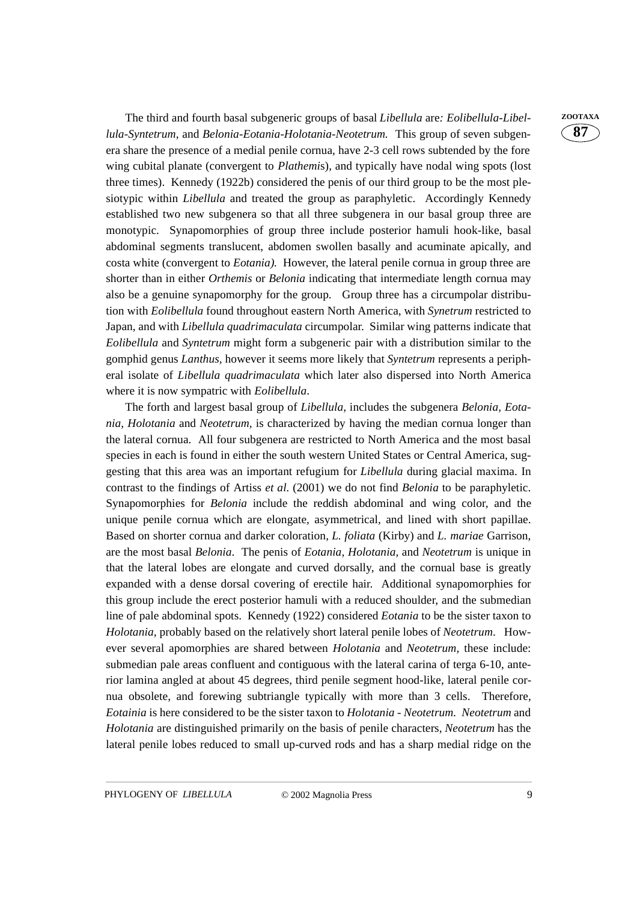The third and fourth basal subgeneric groups of basal *Libellula* are*: Eolibellula-Libel-* **ZOOTAXA** *lula-Syntetrum*, and *Belonia-Eotania-Holotania-Neotetrum.* This group of seven subgenera share the presence of a medial penile cornua, have 2-3 cell rows subtended by the fore wing cubital planate (convergent to *Plathemi*s), and typically have nodal wing spots (lost three times). Kennedy (1922b) considered the penis of our third group to be the most plesiotypic within *Libellula* and treated the group as paraphyletic. Accordingly Kennedy established two new subgenera so that all three subgenera in our basal group three are monotypic. Synapomorphies of group three include posterior hamuli hook-like, basal abdominal segments translucent, abdomen swollen basally and acuminate apically, and costa white (convergent to *Eotania).* However, the lateral penile cornua in group three are shorter than in either *Orthemis* or *Belonia* indicating that intermediate length cornua may also be a genuine synapomorphy for the group. Group three has a circumpolar distribution with *Eolibellula* found throughout eastern North America, with *Synetrum* restricted to Japan, and with *Libellula quadrimaculata* circumpolar. Similar wing patterns indicate that *Eolibellula* and *Syntetrum* might form a subgeneric pair with a distribution similar to the gomphid genus *Lanthus,* however it seems more likely that *Syntetrum* represents a peripheral isolate of *Libellula quadrimaculata* which later also dispersed into North America where it is now sympatric with *Eolibellula*.

The forth and largest basal group of *Libellula,* includes the subgenera *Belonia, Eotania, Holotania* and *Neotetrum,* is characterized by having the median cornua longer than the lateral cornua. All four subgenera are restricted to North America and the most basal species in each is found in either the south western United States or Central America, suggesting that this area was an important refugium for *Libellula* during glacial maxima. In contrast to the findings of Artiss *et al.* (2001) we do not find *Belonia* to be paraphyletic. Synapomorphies for *Belonia* include the reddish abdominal and wing color, and the unique penile cornua which are elongate, asymmetrical, and lined with short papillae. Based on shorter cornua and darker coloration, *L. foliata* (Kirby) and *L. mariae* Garrison, are the most basal *Belonia*. The penis of *Eotania, Holotania,* and *Neotetrum* is unique in that the lateral lobes are elongate and curved dorsally, and the cornual base is greatly expanded with a dense dorsal covering of erectile hair. Additional synapomorphies for this group include the erect posterior hamuli with a reduced shoulder, and the submedian line of pale abdominal spots. Kennedy (1922) considered *Eotania* to be the sister taxon to *Holotania*, probably based on the relatively short lateral penile lobes of *Neotetrum*. However several apomorphies are shared between *Holotania* and *Neotetrum,* these include: submedian pale areas confluent and contiguous with the lateral carina of terga 6-10, anterior lamina angled at about 45 degrees, third penile segment hood-like, lateral penile cornua obsolete, and forewing subtriangle typically with more than 3 cells. Therefore, *Eotainia* is here considered to be the sister taxon to *Holotania* - *Neotetrum. Neotetrum* and *Holotania* are distinguished primarily on the basis of penile characters, *Neotetrum* has the lateral penile lobes reduced to small up-curved rods and has a sharp medial ridge on the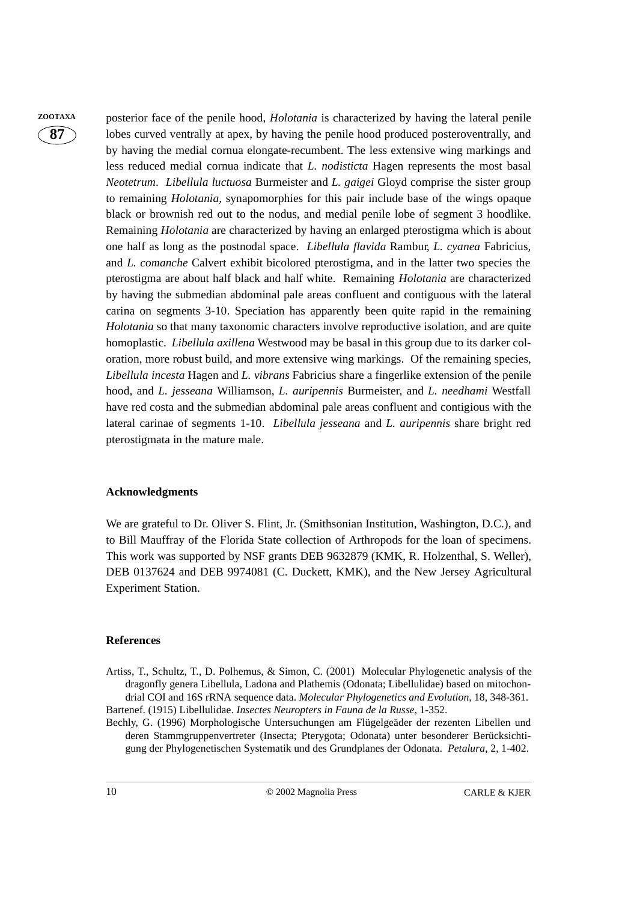**ZOOTAXA** posterior face of the penile hood, *Holotania* is characterized by having the lateral penile lobes curved ventrally at apex, by having the penile hood produced posteroventrally, and by having the medial cornua elongate-recumbent. The less extensive wing markings and less reduced medial cornua indicate that *L. nodisticta* Hagen represents the most basal *Neotetrum*. *Libellula luctuosa* Burmeister and *L. gaigei* Gloyd comprise the sister group to remaining *Holotania,* synapomorphies for this pair include base of the wings opaque black or brownish red out to the nodus, and medial penile lobe of segment 3 hoodlike. Remaining *Holotania* are characterized by having an enlarged pterostigma which is about one half as long as the postnodal space. *Libellula flavida* Rambur*, L. cyanea* Fabricius*,* and *L. comanche* Calvert exhibit bicolored pterostigma, and in the latter two species the pterostigma are about half black and half white. Remaining *Holotania* are characterized by having the submedian abdominal pale areas confluent and contiguous with the lateral carina on segments 3-10. Speciation has apparently been quite rapid in the remaining *Holotania* so that many taxonomic characters involve reproductive isolation, and are quite homoplastic. *Libellula axillena* Westwood may be basal in this group due to its darker coloration, more robust build, and more extensive wing markings. Of the remaining species, *Libellula incesta* Hagen and *L. vibrans* Fabricius share a fingerlike extension of the penile hood, and *L. jesseana* Williamson*, L. auripennis* Burmeister, and *L. needhami* Westfall have red costa and the submedian abdominal pale areas confluent and contigious with the lateral carinae of segments 1-10. *Libellula jesseana* and *L. auripennis* share bright red pterostigmata in the mature male.

#### **Acknowledgments**

We are grateful to Dr. Oliver S. Flint, Jr. (Smithsonian Institution, Washington, D.C.), and to Bill Mauffray of the Florida State collection of Arthropods for the loan of specimens. This work was supported by NSF grants DEB 9632879 (KMK, R. Holzenthal, S. Weller), DEB 0137624 and DEB 9974081 (C. Duckett, KMK), and the New Jersey Agricultural Experiment Station.

#### **References**

- Artiss, T., Schultz, T., D. Polhemus, & Simon, C. (2001) Molecular Phylogenetic analysis of the dragonfly genera Libellula, Ladona and Plathemis (Odonata; Libellulidae) based on mitochondrial COI and 16S rRNA sequence data. *Molecular Phylogenetics and Evolution*, 18, 348-361. Bartenef. (1915) Libellulidae. *Insectes Neuropters in Fauna de la Russe*, 1-352.
- Bechly, G. (1996) Morphologische Untersuchungen am Flügelgeäder der rezenten Libellen und deren Stammgruppenvertreter (Insecta; Pterygota; Odonata) unter besonderer Berücksichtigung der Phylogenetischen Systematik und des Grundplanes der Odonata. *Petalura,* 2, 1-402.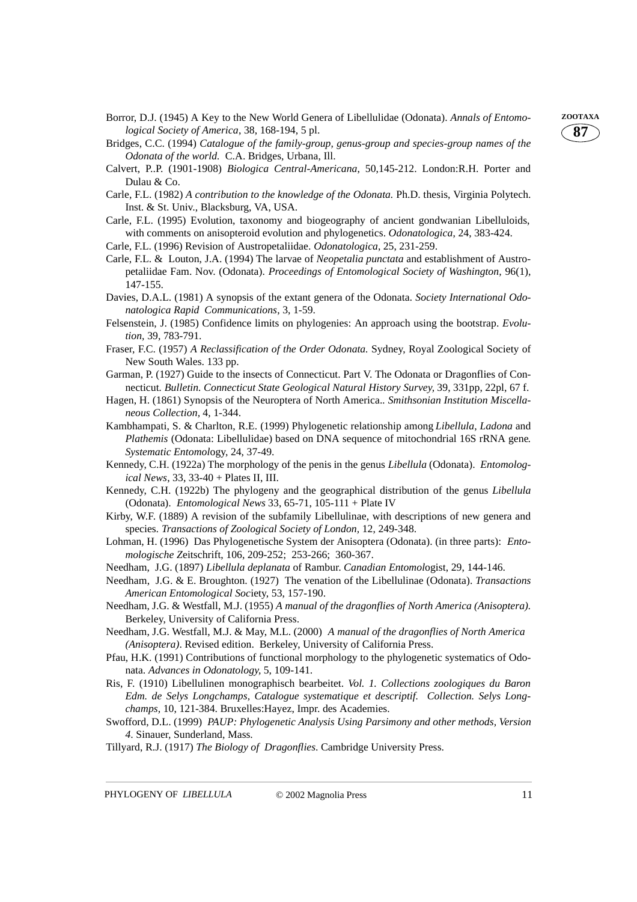- Borror, D.J. (1945) A Key to the New World Genera of Libellulidae (Odonata). *Annals of Entomo-* **ZOOTAXA** *logical Society of America*, 38, 168-194, 5 pl.
- Bridges, C.C. (1994) *Catalogue of the family-group, genus-group and species-group names of the Odonata of the world.* C.A. Bridges, Urbana, Ill.
- Calvert, P..P. (1901-1908) *Biologica Central-Americana*, 50,145-212. London:R.H. Porter and Dulau & Co.
- Carle, F.L. (1982) *A contribution to the knowledge of the Odonata.* Ph.D. thesis, Virginia Polytech. Inst. & St. Univ., Blacksburg, VA, USA.
- Carle, F.L. (1995) Evolution, taxonomy and biogeography of ancient gondwanian Libelluloids, with comments on anisopteroid evolution and phylogenetics. *Odonatologica*, 24, 383-424.

Carle, F.L. (1996) Revision of Austropetaliidae. *Odonatologica*, 25, 231-259.

- Carle, F.L. & Louton, J.A. (1994) The larvae of *Neopetalia punctata* and establishment of Austropetaliidae Fam. Nov. (Odonata). *Proceedings of Entomological Society of Washington,* 96(1), 147-155.
- Davies, D.A.L. (1981) A synopsis of the extant genera of the Odonata*. Society International Odonatologica Rapid Communications*, 3, 1-59.
- Felsenstein, J. (1985) Confidence limits on phylogenies: An approach using the bootstrap. *Evolution,* 39, 783-791.
- Fraser, F.C. (1957) *A Reclassification of the Order Odonata.* Sydney, Royal Zoological Society of New South Wales. 133 pp.
- Garman, P. (1927) Guide to the insects of Connecticut. Part V. The Odonata or Dragonflies of Connecticut*. Bulletin. Connecticut State Geological Natural History Survey,* 39, 331pp, 22pl, 67 f.
- Hagen, H. (1861) Synopsis of the Neuroptera of North America.*. Smithsonian Institution Miscellaneous Collection,* 4, 1-344.
- Kambhampati, S. & Charlton, R.E. (1999) Phylogenetic relationship among *Libellula*, *Ladona* and *Plathemis* (Odonata: Libellulidae) based on DNA sequence of mitochondrial 16S rRNA gene*. Systematic Entomol*ogy, 24, 37-49.
- Kennedy, C.H. (1922a) The morphology of the penis in the genus *Libellula* (Odonata). *Entomological News*, 33, 33-40 + Plates II, III.
- Kennedy, C.H. (1922b) The phylogeny and the geographical distribution of the genus *Libellula* (Odonata). *Entomological News* 33, 65-71, 105-111 + Plate IV
- Kirby, W.F. (1889) A revision of the subfamily Libellulinae, with descriptions of new genera and species*. Transactions of Zoological Society of London,* 12, 249-348.
- Lohman, H. (1996) Das Phylogenetische System der Anisoptera (Odonata). (in three parts): *Entomologische Z*eitschrift, 106, 209-252; 253-266; 360-367.
- Needham, J.G. (1897) *Libellula deplanata* of Rambur. *Canadian Entomol*ogist, 29, 144-146.
- Needham, J.G. & E. Broughton. (1927) The venation of the Libellulinae (Odonata). *Transactions American Entomological Soc*iety, 53, 157-190.
- Needham, J.G. & Westfall, M.J. (1955) *A manual of the dragonflies of North America (Anisoptera).* Berkeley, University of California Press.
- Needham, J.G. Westfall, M.J. & May, M.L. (2000) *A manual of the dragonflies of North America (Anisoptera)*. Revised edition. Berkeley, University of California Press.
- Pfau, H.K. (1991) Contributions of functional morphology to the phylogenetic systematics of Odonata. *Advances in Odonatology,* 5, 109-141.
- Ris, F. (1910) Libellulinen monographisch bearbeitet. *Vol. 1. Collections zoologiques du Baron Edm. de Selys Longchamps, Catalogue systematique et descriptif. Collection. Selys Longchamps,* 10, 121-384. Bruxelles:Hayez, Impr. des Academies.
- Swofford, D.L. (1999) *PAUP: Phylogenetic Analysis Using Parsimony and other methods, Version 4*. Sinauer, Sunderland, Mass.
- Tillyard, R.J. (1917) *The Biology of Dragonflies*. Cambridge University Press.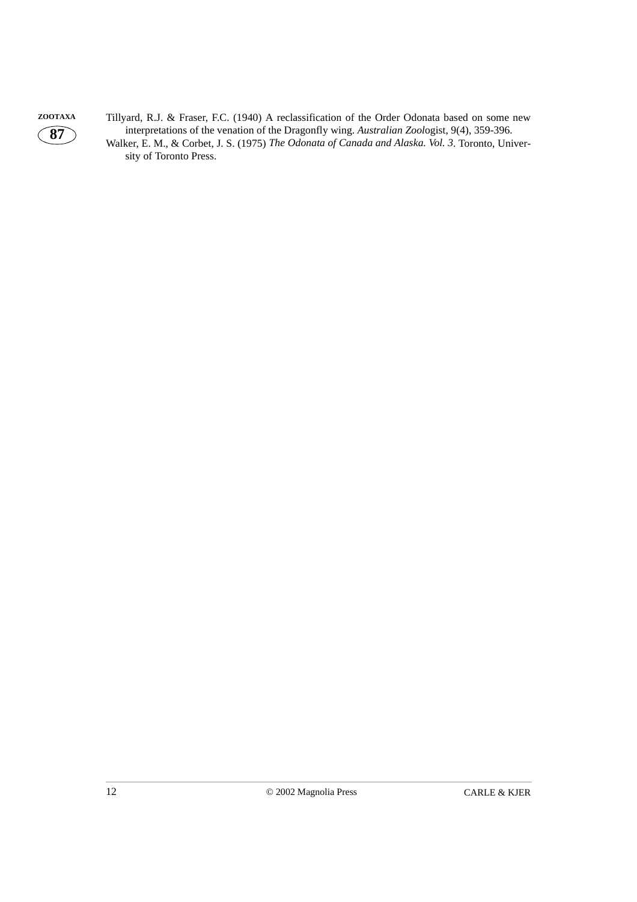

**ZOOTAXA** Tillyard, R.J. & Fraser, F.C. (1940) A reclassification of the Order Odonata based on some new interpretations of the venation of the Dragonfly wing. *Australian Zool*ogist, 9(4), 359-396. Walker, E. M., & Corbet, J. S. (1975) *The Odonata of Canada and Alaska. Vol. 3*. Toronto, University of Toronto Press.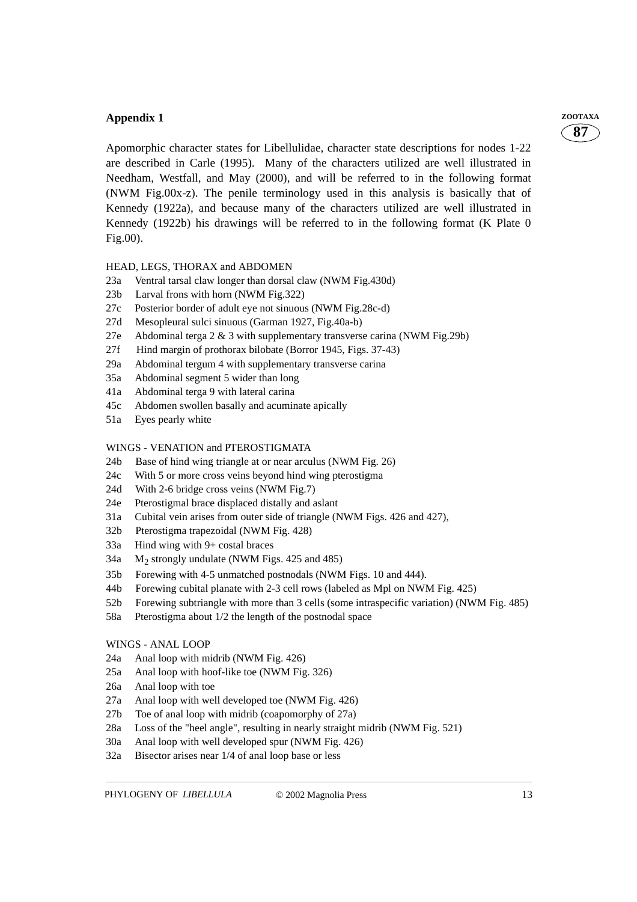#### **Appendix 1** *ZOOTAXA*

Apomorphic character states for Libellulidae, character state descriptions for nodes 1-22 are described in Carle (1995). Many of the characters utilized are well illustrated in Needham, Westfall, and May (2000), and will be referred to in the following format (NWM Fig.00x-z). The penile terminology used in this analysis is basically that of Kennedy (1922a), and because many of the characters utilized are well illustrated in Kennedy (1922b) his drawings will be referred to in the following format (K Plate 0 Fig.00).

#### HEAD, LEGS, THORAX and ABDOMEN

- 23a Ventral tarsal claw longer than dorsal claw (NWM Fig.430d)
- 23b Larval frons with horn (NWM Fig.322)
- 27c Posterior border of adult eye not sinuous (NWM Fig.28c-d)
- 27d Mesopleural sulci sinuous (Garman 1927, Fig.40a-b)
- 27e Abdominal terga  $2 \& 3$  with supplementary transverse carina (NWM Fig. 29b)
- 27f Hind margin of prothorax bilobate (Borror 1945, Figs. 37-43)
- 29a Abdominal tergum 4 with supplementary transverse carina
- 35a Abdominal segment 5 wider than long
- 41a Abdominal terga 9 with lateral carina
- 45c Abdomen swollen basally and acuminate apically
- 51a Eyes pearly white

#### WINGS - VENATION and PTEROSTIGMATA

- 24b Base of hind wing triangle at or near arculus (NWM Fig. 26)
- 24c With 5 or more cross veins beyond hind wing pterostigma
- 24d With 2-6 bridge cross veins (NWM Fig.7)
- 24e Pterostigmal brace displaced distally and aslant
- 31a Cubital vein arises from outer side of triangle (NWM Figs. 426 and 427),
- 32b Pterostigma trapezoidal (NWM Fig. 428)
- 33a Hind wing with 9+ costal braces
- 34a  $M_2$  strongly undulate (NWM Figs. 425 and 485)
- 35b Forewing with 4-5 unmatched postnodals (NWM Figs. 10 and 444).
- 44b Forewing cubital planate with 2-3 cell rows (labeled as Mpl on NWM Fig. 425)
- 52b Forewing subtriangle with more than 3 cells (some intraspecific variation) (NWM Fig. 485)
- 58a Pterostigma about 1/2 the length of the postnodal space

#### WINGS - ANAL LOOP

- 24a Anal loop with midrib (NWM Fig. 426)
- 25a Anal loop with hoof-like toe (NWM Fig. 326)
- 26a Anal loop with toe
- 27a Anal loop with well developed toe (NWM Fig. 426)
- 27b Toe of anal loop with midrib (coapomorphy of 27a)
- 28a Loss of the "heel angle", resulting in nearly straight midrib (NWM Fig. 521)
- 30a Anal loop with well developed spur (NWM Fig. 426)
- 32a Bisector arises near 1/4 of anal loop base or less

**87**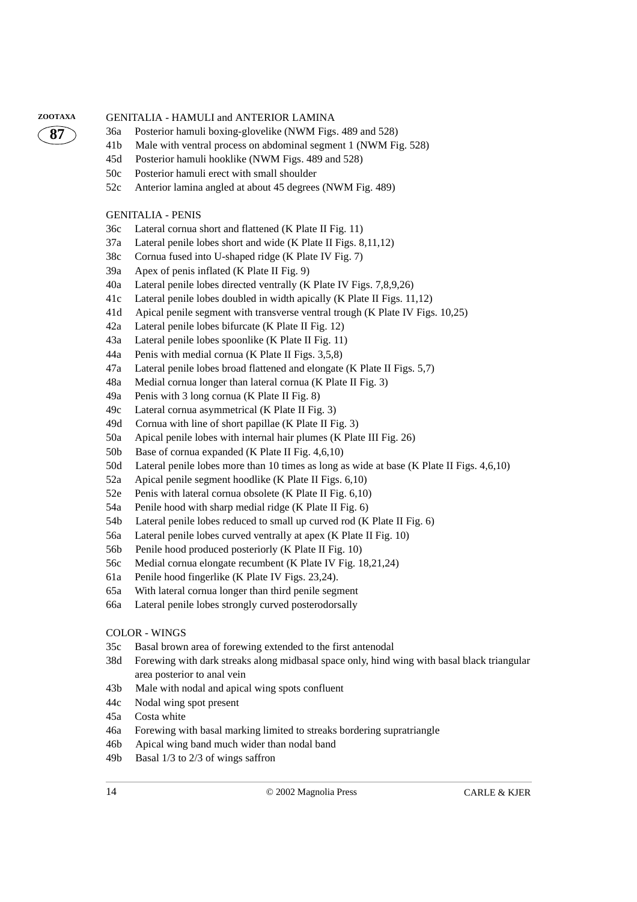#### **ZOOTAXA** GENITALIA - HAMULI and ANTERIOR LAMINA



- 36a Posterior hamuli boxing-glovelike (NWM Figs. 489 and 528)
- 41b Male with ventral process on abdominal segment 1 (NWM Fig. 528)
- 45d Posterior hamuli hooklike (NWM Figs. 489 and 528)
- 50c Posterior hamuli erect with small shoulder
- 52c Anterior lamina angled at about 45 degrees (NWM Fig. 489)

#### GENITALIA - PENIS

- 36c Lateral cornua short and flattened (K Plate II Fig. 11)
- 37a Lateral penile lobes short and wide (K Plate II Figs. 8,11,12)
- 38c Cornua fused into U-shaped ridge (K Plate IV Fig. 7)
- 39a Apex of penis inflated (K Plate II Fig. 9)
- 40a Lateral penile lobes directed ventrally (K Plate IV Figs. 7,8,9,26)
- 41c Lateral penile lobes doubled in width apically (K Plate II Figs. 11,12)
- 41d Apical penile segment with transverse ventral trough (K Plate IV Figs. 10,25)
- 42a Lateral penile lobes bifurcate (K Plate II Fig. 12)
- 43a Lateral penile lobes spoonlike (K Plate II Fig. 11)
- 44a Penis with medial cornua (K Plate II Figs. 3,5,8)
- 47a Lateral penile lobes broad flattened and elongate (K Plate II Figs. 5,7)
- 48a Medial cornua longer than lateral cornua (K Plate II Fig. 3)
- 49a Penis with 3 long cornua (K Plate II Fig. 8)
- 49c Lateral cornua asymmetrical (K Plate II Fig. 3)
- 49d Cornua with line of short papillae (K Plate II Fig. 3)
- 50a Apical penile lobes with internal hair plumes (K Plate III Fig. 26)
- 50b Base of cornua expanded (K Plate II Fig. 4,6,10)
- 50d Lateral penile lobes more than 10 times as long as wide at base (K Plate II Figs. 4,6,10)
- 52a Apical penile segment hoodlike (K Plate II Figs. 6,10)
- 52e Penis with lateral cornua obsolete (K Plate II Fig. 6,10)
- 54a Penile hood with sharp medial ridge (K Plate II Fig. 6)
- 54b Lateral penile lobes reduced to small up curved rod (K Plate II Fig. 6)
- 56a Lateral penile lobes curved ventrally at apex (K Plate II Fig. 10)
- 56b Penile hood produced posteriorly (K Plate II Fig. 10)
- 56c Medial cornua elongate recumbent (K Plate IV Fig. 18,21,24)
- 61a Penile hood fingerlike (K Plate IV Figs. 23,24).
- 65a With lateral cornua longer than third penile segment
- 66a Lateral penile lobes strongly curved posterodorsally

#### COLOR - WINGS

- 35c Basal brown area of forewing extended to the first antenodal
- 38d Forewing with dark streaks along midbasal space only, hind wing with basal black triangular area posterior to anal vein
- 43b Male with nodal and apical wing spots confluent
- 44c Nodal wing spot present
- 45a Costa white
- 46a Forewing with basal marking limited to streaks bordering supratriangle
- 46b Apical wing band much wider than nodal band
- 49b Basal 1/3 to 2/3 of wings saffron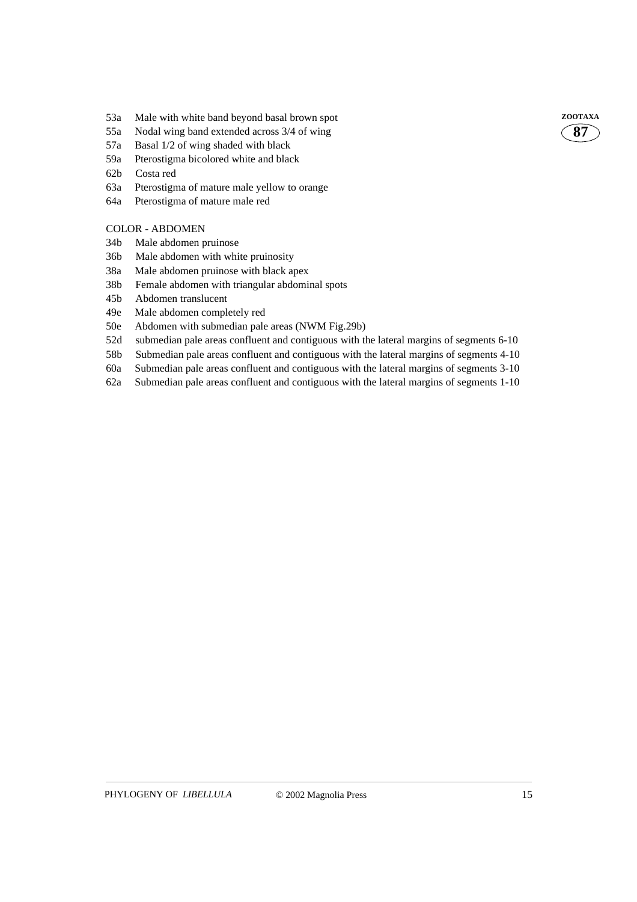- 53a Male with white band beyond basal brown spot **ZOOTAXA**
- 55a Nodal wing band extended across 3/4 of wing
- 57a Basal 1/2 of wing shaded with black
- 59a Pterostigma bicolored white and black
- 62b Costa red
- 63a Pterostigma of mature male yellow to orange
- 64a Pterostigma of mature male red

#### COLOR - ABDOMEN

- 34b Male abdomen pruinose
- 36b Male abdomen with white pruinosity
- 38a Male abdomen pruinose with black apex
- 38b Female abdomen with triangular abdominal spots
- 45b Abdomen translucent
- 49e Male abdomen completely red
- 50e Abdomen with submedian pale areas (NWM Fig.29b)
- 52d submedian pale areas confluent and contiguous with the lateral margins of segments 6-10
- 58b Submedian pale areas confluent and contiguous with the lateral margins of segments 4-10
- 60a Submedian pale areas confluent and contiguous with the lateral margins of segments 3-10
- 62a Submedian pale areas confluent and contiguous with the lateral margins of segments 1-10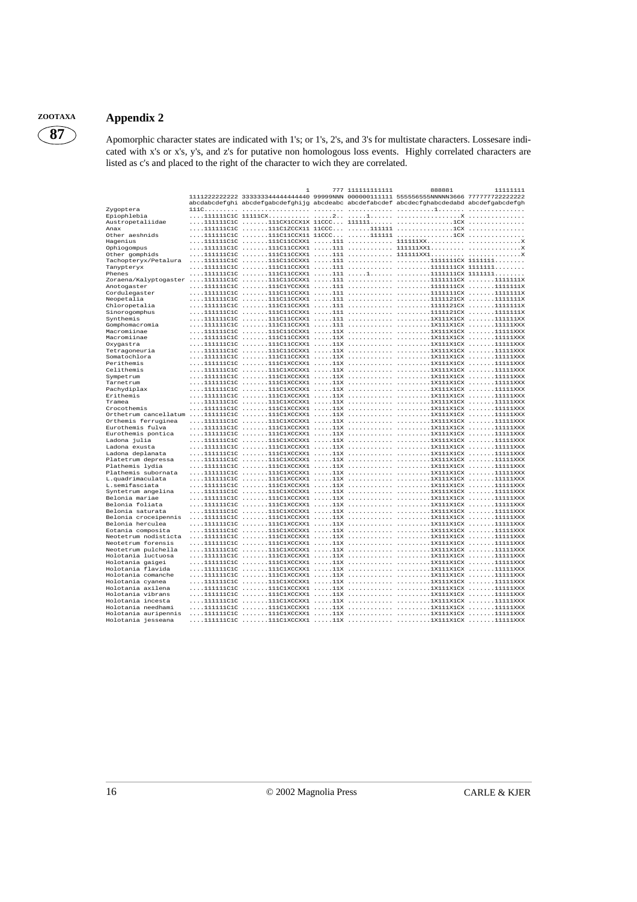### **ZOOTAXA Appendix 2**

**87**

#### Apomorphic character states are indicated with 1's; or 1's, 2's, and 3's for multistate characters. Lossesare indicated with x's or x's, y's, and z's for putative non homologous loss events. Highly correlated characters are listed as c's and placed to the right of the character to wich they are correlated.

|                                       | ı | 777 111111111111 | 888881<br>1111222222222 333333344444444440 99999NNN 000000111111 555556555NNNNN3666 777777722222222                   | 11111111 |
|---------------------------------------|---|------------------|-----------------------------------------------------------------------------------------------------------------------|----------|
|                                       |   |                  | abcdabcdefghi abcdefgabcdefghijg abcdeabc abcdefabcdef abcdecfghabcdedabd abcdefgabcdefgh                             |          |
| Zygoptera                             |   |                  |                                                                                                                       |          |
| Epiophlebia                           |   |                  |                                                                                                                       |          |
| Austropetaliidae                      |   |                  |                                                                                                                       |          |
| Anax                                  |   |                  |                                                                                                                       |          |
| Other aeshnids<br>Hagenius            |   |                  |                                                                                                                       |          |
| Ophiogompus                           |   |                  |                                                                                                                       |          |
| Other gomphids                        |   |                  |                                                                                                                       |          |
| Tachopteryx/Petalura                  |   |                  |                                                                                                                       |          |
| Tanypteryx                            |   |                  |                                                                                                                       |          |
| Phenes                                |   |                  |                                                                                                                       |          |
|                                       |   |                  |                                                                                                                       |          |
| Anotogaster                           |   |                  |                                                                                                                       |          |
| Cordulegaster                         |   |                  |                                                                                                                       |          |
| Neopetalia                            |   |                  |                                                                                                                       |          |
| Chloropetalia                         |   |                  |                                                                                                                       |          |
| Sinorogomphus                         |   |                  |                                                                                                                       |          |
| Synthemis                             |   |                  |                                                                                                                       |          |
| Gomphomacromia                        |   |                  |                                                                                                                       |          |
| Macromiinae                           |   |                  |                                                                                                                       |          |
| Macromiinae                           |   |                  |                                                                                                                       |          |
| Oxygastra                             |   |                  |                                                                                                                       |          |
| Tetragoneuria                         |   |                  |                                                                                                                       |          |
| Somatochlora                          |   |                  |                                                                                                                       |          |
| Perithemis                            |   |                  |                                                                                                                       |          |
| Celithemis                            |   |                  |                                                                                                                       |          |
| Sympetrum                             |   |                  |                                                                                                                       |          |
| Tarnetrum                             |   |                  |                                                                                                                       |          |
| Pachydiplax<br>Erithemis              |   |                  |                                                                                                                       |          |
| Tramea                                |   |                  | $\ldots.1111111c1c \ldots.111c1Xccxx1 \ldots.11x \ldots. \ldots. \ldots.1 \ldots.1x111x1cx \ldots.11111xxx$           |          |
| Crocothemis                           |   |                  |                                                                                                                       |          |
|                                       |   |                  |                                                                                                                       |          |
| Orthemis ferruginea                   |   |                  |                                                                                                                       |          |
| Eurothemis fulva                      |   |                  | $\ldots.1111111c1c \ldots.111c1xccxx1 \ldots.11x \ldots. \ldots. \ldots.111111x1cx \ldots.111111xxx$                  |          |
| Eurothemis pontica                    |   |                  |                                                                                                                       |          |
| Ladona julia                          |   |                  |                                                                                                                       |          |
| Ladona exusta                         |   |                  | $\ldots.1111111212 \ldots.111121XCCXX1 \ldots.11X \ldots. \ldots. \ldots. \ldots.1X111X1CX \ldots. \ldots.111111XXX$  |          |
| Ladona deplanata                      |   |                  |                                                                                                                       |          |
| Platetrum depressa                    |   |                  |                                                                                                                       |          |
| Plathemis lydia                       |   |                  |                                                                                                                       |          |
| Plathemis subornata                   |   |                  | $\ldots.1111111c1c \ldots.1111c1Xccxx1 \ldots.11x \ldots. \ldots. \ldots. \ldots.11111x1c x \ldots. \ldots.111111xxx$ |          |
| L.quadrimaculata                      |   |                  | $\ldots.1111111c1c \ldots.111c1xccxx1 \ldots.11x \ldots. \ldots. \ldots.111111x1cx \ldots.111111xxx$                  |          |
| L.semifasciata                        |   |                  |                                                                                                                       |          |
| Syntetrum angelina                    |   |                  |                                                                                                                       |          |
| Belonia mariae                        |   |                  |                                                                                                                       |          |
| Belonia foliata                       |   |                  |                                                                                                                       |          |
| Belonia saturata                      |   |                  |                                                                                                                       |          |
| Belonia croceipennis                  |   |                  |                                                                                                                       |          |
| Belonia herculea<br>Eotania composita |   |                  |                                                                                                                       |          |
| Neotetrum nodisticta                  |   |                  |                                                                                                                       |          |
| Neotetrum forensis                    |   |                  |                                                                                                                       |          |
| Neotetrum pulchella                   |   |                  |                                                                                                                       |          |
| Holotania luctuosa                    |   |                  |                                                                                                                       |          |
| Holotania gaigei                      |   |                  |                                                                                                                       |          |
| Holotania flavida                     |   |                  | $\ldots.1111111c1c \ldots.111c1xccxx1 \ldots.11x \ldots. \ldots. \ldots.111111x1cx \ldots.111111xxx$                  |          |
| Holotania comanche                    |   |                  |                                                                                                                       |          |
| Holotania cyanea                      |   |                  |                                                                                                                       |          |
| Holotania axilena                     |   |                  |                                                                                                                       |          |
| Holotania vibrans                     |   |                  |                                                                                                                       |          |
| Holotania incesta                     |   |                  |                                                                                                                       |          |
| Holotania needhami                    |   |                  |                                                                                                                       |          |
| Holotania auripennis                  |   |                  |                                                                                                                       |          |
| Holotania jesseana                    |   |                  | $\ldots.1111111c1c \ldots.111c1xccxx1 \ldots.11x \ldots. \ldots. \ldots.111111x1cx \ldots.111111xxx$                  |          |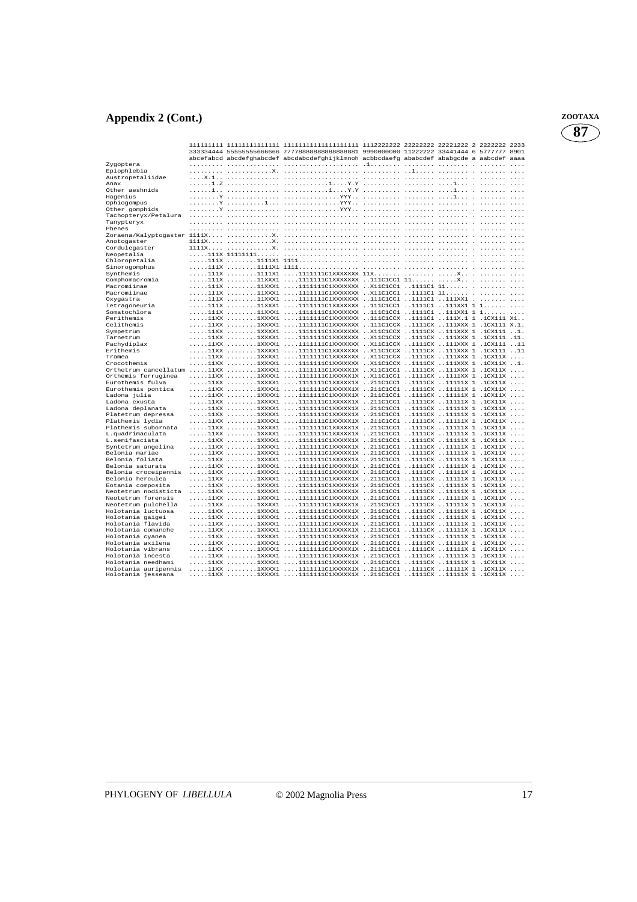## **Appendix 2 (Cont.)** *z*

| ZOOTAXA |
|---------|
|         |

|                                                                    |  | 333334444 55555555666666 77778888888888888881 9990000000 11222222 33441444 6 5777777 8901 |  |  |  |
|--------------------------------------------------------------------|--|-------------------------------------------------------------------------------------------|--|--|--|
|                                                                    |  | abcefabcd abcdefghabcdef abcdabcdefghijklmnoh acbbcdaefg ababcdef ababgcde a aabcdef aaaa |  |  |  |
| Zygoptera                                                          |  |                                                                                           |  |  |  |
| Epiophlebia                                                        |  |                                                                                           |  |  |  |
| Austropetaliidae                                                   |  |                                                                                           |  |  |  |
| Anax                                                               |  |                                                                                           |  |  |  |
| Other aeshnids<br>Haqenius                                         |  |                                                                                           |  |  |  |
| Ophiogompus                                                        |  |                                                                                           |  |  |  |
| Other gomphids                                                     |  |                                                                                           |  |  |  |
| Tachopteryx/Petalura                                               |  |                                                                                           |  |  |  |
| Tanypteryx                                                         |  |                                                                                           |  |  |  |
| Phenes                                                             |  |                                                                                           |  |  |  |
|                                                                    |  |                                                                                           |  |  |  |
| Anotogaster                                                        |  |                                                                                           |  |  |  |
| Cordulegaster                                                      |  |                                                                                           |  |  |  |
| Neopetalia                                                         |  |                                                                                           |  |  |  |
| Chloropetalia                                                      |  |                                                                                           |  |  |  |
| Sinorogomphus<br>Synthemis                                         |  | 111X 1111X1 111111111ClXXXXXX 11X  X                                                      |  |  |  |
| Gomphomacromia                                                     |  | 111X 11XXX1 11111111ClXXXXXXX 111ClCC1 11 X                                               |  |  |  |
| Macromiinae                                                        |  | 111X 11XXX1 1111111ClXXXXXXX X11ClCC1 1111C1 11                                           |  |  |  |
| Macromiinae                                                        |  | 111x 11xxx1 1111111Clxxxxxxx x11c1cc1 1111c1 11                                           |  |  |  |
| Oxygastra                                                          |  |                                                                                           |  |  |  |
| Tetragoneuria                                                      |  | 111X 11XXX1 1111111ClXXXXXXX 111ClCCl 1111Cl 111XX1 1 1                                   |  |  |  |
| Somatochlora                                                       |  | 111X 11xxx1 1111111Clxxxxxxx 111clccl 1111c1 111xx1 1 1                                   |  |  |  |
| Perithemis                                                         |  |                                                                                           |  |  |  |
| Celithemis                                                         |  | 11XX 1XXXX1 111111ClXXXXXXX 111ClCCX 1111CX 111XXX 1 .1CX111 X.1.                         |  |  |  |
| Sympetrum                                                          |  | 11XX 1XXXX1 111111ClXXXXXXX X11ClCCX 1111CX 111XXX 1 CX111                                |  |  |  |
| Tarnetrum                                                          |  |                                                                                           |  |  |  |
| Pachydiplax<br>Erithemis                                           |  |                                                                                           |  |  |  |
| Tramea                                                             |  | 11XX 1XXXX1 1111111C1XXXXXXX X11C1CCX 1111CX 11XXX 1                                      |  |  |  |
| Crocothemis                                                        |  | 11XX 1XXXX1 111111C1XXXXXXX X11C1CCX 1111CX 111XXX 1 1XXX1                                |  |  |  |
| Durinetrum cancellatum 11XX 1XXXX1 111111ClXXXXX1X X11ClCCl 1111Cl |  |                                                                                           |  |  |  |
| Orthemis ferruginea                                                |  | 11XX 1XXXX1 1111111ClXXXXX1X X11C1CC1 1111CX 1111XX 1 .1CX11X                             |  |  |  |
| Eurothemis fulva                                                   |  |                                                                                           |  |  |  |
| Eurothemis pontica                                                 |  |                                                                                           |  |  |  |
| Ladona julia                                                       |  |                                                                                           |  |  |  |
| Ladona exusta                                                      |  | 11XX 1XXXX1 111111C1XXXXX1X 211C1CC1 1111CX 1111X 1                                       |  |  |  |
| Ladona deplanata                                                   |  | 11XX 1XXXX1 111111C1XXXXX1X 211C1CC1 1111CX 1111X 1                                       |  |  |  |
| Platetrum depressa<br>Plathemis lydia                              |  |                                                                                           |  |  |  |
| Plathemis subornata                                                |  |                                                                                           |  |  |  |
| L.quadrimaculata                                                   |  |                                                                                           |  |  |  |
| L.semifasciata                                                     |  |                                                                                           |  |  |  |
| Syntetrum angelina                                                 |  |                                                                                           |  |  |  |
| Belonia mariae                                                     |  |                                                                                           |  |  |  |
| Belonia foliata                                                    |  |                                                                                           |  |  |  |
| Belonia saturata                                                   |  |                                                                                           |  |  |  |
| Belonia croceipennis                                               |  | 11XX 1XXXX1 111111C1XXXXX1X 211C1CC1 1111CX 1111X 1                                       |  |  |  |
| Belonia herculea                                                   |  |                                                                                           |  |  |  |
| Eotania composita<br>Neotetrum nodisticta                          |  |                                                                                           |  |  |  |
| Neotetrum forensis                                                 |  |                                                                                           |  |  |  |
| Neotetrum pulchella                                                |  |                                                                                           |  |  |  |
| Holotania luctuosa                                                 |  | 11XX 1XXXX1 111111ClXXXXX1X 211C1CC1 1111CX 11111X 1                                      |  |  |  |
| Holotania gaigei                                                   |  |                                                                                           |  |  |  |
| Holotania flavida                                                  |  |                                                                                           |  |  |  |
| Holotania comanche                                                 |  | 11XX 1XXXX1 111111C1XXXXX1X 211C1CC1 1111CX 1111X 1                                       |  |  |  |
| Holotania cyanea                                                   |  |                                                                                           |  |  |  |
| Holotania axilena                                                  |  | 11XX 1XXXX1 111111C1XXXXX1X 211C1CC1 1111CX 1111X 1                                       |  |  |  |
| Holotania vibrans                                                  |  |                                                                                           |  |  |  |
| Holotania incesta                                                  |  |                                                                                           |  |  |  |
| Holotania needhami<br>Holotania auripennis                         |  | 11XX 1XXXX1 1111111C1XXXXX1X 211C1CC1 1111CX 1111X 1                                      |  |  |  |
| Holotania jesseana                                                 |  |                                                                                           |  |  |  |
|                                                                    |  |                                                                                           |  |  |  |